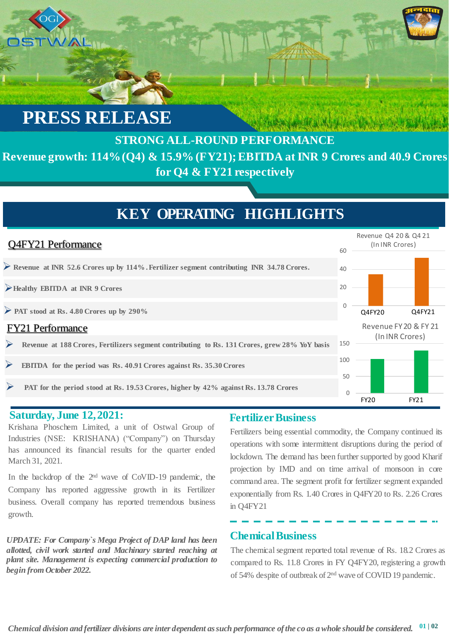# **PRESS RELEASE**

### **STRONG ALL-ROUND PERFORMANCE Revenue growth: 114% (Q4) & 15.9% (FY21); EBITDA at INR 9 Crores and 40.9 Crores for Q4 & FY21 respectively**

### **KEY OPERATING HIGHLIGHTS**



#### **Saturday, June 12,2021:**

Krishana Phoschem Limited, a unit of Ostwal Group of Industries (NSE: KRISHANA) ("Company") on Thursday has announced its financial results for the quarter ended March 31, 2021.

In the backdrop of the 2<sup>nd</sup> wave of CoVID-19 pandemic, the Company has reported aggressive growth in its Fertilizer business. Overall company has reported tremendous business growth.

*UPDATE: For Company`s Mega Project of DAP land has been allotted, civil work started and Machinary started reaching at plant site. Management is expecting commercial production to begin from October 2022.*

#### **Fertilizer Business**

Fertilizers being essential commodity, the Company continued its operations with some intermittent disruptions during the period of lockdown. The demand has been further supported by good Kharif projection by IMD and on time arrival of monsoon in core command area. The segment profit for fertilizer segment expanded exponentially from Rs. 1.40 Crores in Q4FY20 to Rs. 2.26 Crores in Q4FY21

#### **Chemical Business**

The chemical segment reported total revenue of Rs. 18.2 Crores as compared to Rs. 11.8 Crores in FY Q4FY20, registering a growth of 54% despite of outbreak of 2<sup>nd</sup> wave of COVID 19 pandemic.